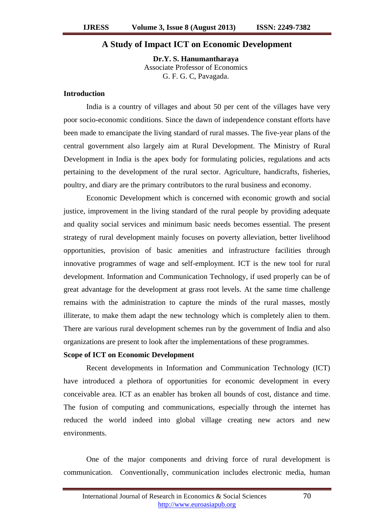## **A Study of Impact ICT on Economic Development**

**Dr.Y. S. Hanumantharaya** Associate Professor of Economics G. F. G. C, Pavagada.

#### **Introduction**

India is a country of villages and about 50 per cent of the villages have very poor socio-economic conditions. Since the dawn of independence constant efforts have been made to emancipate the living standard of rural masses. The five-year plans of the central government also largely aim at Rural Development. The Ministry of Rural Development in India is the apex body for formulating policies, regulations and acts pertaining to the development of the rural sector. Agriculture, handicrafts, fisheries, poultry, and diary are the primary contributors to the rural business and economy.

Economic Development which is concerned with economic growth and social justice, improvement in the living standard of the rural people by providing adequate and quality social services and minimum basic needs becomes essential. The present strategy of rural development mainly focuses on poverty alleviation, better livelihood opportunities, provision of basic amenities and infrastructure facilities through innovative programmes of wage and self-employment. ICT is the new tool for rural development. Information and Communication Technology, if used properly can be of great advantage for the development at grass root levels. At the same time challenge remains with the administration to capture the minds of the rural masses, mostly illiterate, to make them adapt the new technology which is completely alien to them. There are various rural development schemes run by the government of India and also organizations are present to look after the implementations of these programmes.

# **Scope of ICT on Economic Development**

Recent developments in Information and Communication Technology (ICT) have introduced a plethora of opportunities for economic development in every conceivable area. ICT as an enabler has broken all bounds of cost, distance and time. The fusion of computing and communications, especially through the internet has reduced the world indeed into global village creating new actors and new environments.

One of the major components and driving force of rural development is communication. Conventionally, communication includes electronic media, human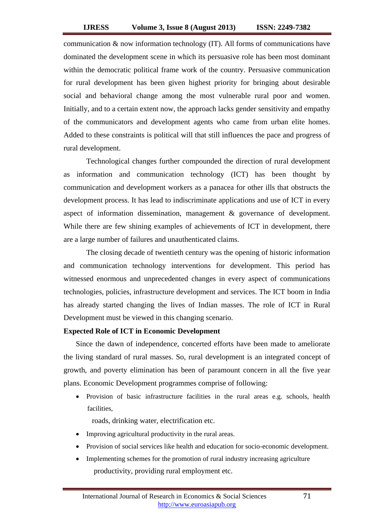communication  $\&$  now information technology (IT). All forms of communications have dominated the development scene in which its persuasive role has been most dominant within the democratic political frame work of the country. Persuasive communication for rural development has been given highest priority for bringing about desirable social and behavioral change among the most vulnerable rural poor and women. Initially, and to a certain extent now, the approach lacks gender sensitivity and empathy of the communicators and development agents who came from urban elite homes. Added to these constraints is political will that still influences the pace and progress of rural development.

Technological changes further compounded the direction of rural development as information and communication technology (ICT) has been thought by communication and development workers as a panacea for other ills that obstructs the development process. It has lead to indiscriminate applications and use of ICT in every aspect of information dissemination, management & governance of development. While there are few shining examples of achievements of ICT in development, there are a large number of failures and unauthenticated claims.

The closing decade of twentieth century was the opening of historic information and communication technology interventions for development. This period has witnessed enormous and unprecedented changes in every aspect of communications technologies, policies, infrastructure development and services. The ICT boom in India has already started changing the lives of Indian masses. The role of ICT in Rural Development must be viewed in this changing scenario.

# **Expected Role of ICT in Economic Development**

Since the dawn of independence, concerted efforts have been made to ameliorate the living standard of rural masses. So, rural development is an integrated concept of growth, and poverty elimination has been of paramount concern in all the five year plans. Economic Development programmes comprise of following:

 Provision of basic infrastructure facilities in the rural areas e.g. schools, health facilities,

roads, drinking water, electrification etc.

- Improving agricultural productivity in the rural areas.
- Provision of social services like health and education for socio-economic development.
- Implementing schemes for the promotion of rural industry increasing agriculture productivity, providing rural employment etc.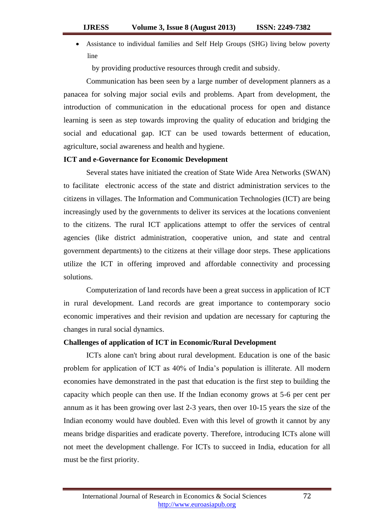Assistance to individual families and Self Help Groups (SHG) living below poverty line

by providing productive resources through credit and subsidy.

Communication has been seen by a large number of development planners as a panacea for solving major social evils and problems. Apart from development, the introduction of communication in the educational process for open and distance learning is seen as step towards improving the quality of education and bridging the social and educational gap. ICT can be used towards betterment of education, agriculture, social awareness and health and hygiene.

#### **ICT and e-Governance for Economic Development**

Several states have initiated the creation of State Wide Area Networks (SWAN) to facilitate electronic access of the state and district administration services to the citizens in villages. The Information and Communication Technologies (ICT) are being increasingly used by the governments to deliver its services at the locations convenient to the citizens. The rural ICT applications attempt to offer the services of central agencies (like district administration, cooperative union, and state and central government departments) to the citizens at their village door steps. These applications utilize the ICT in offering improved and affordable connectivity and processing solutions.

Computerization of land records have been a great success in application of ICT in rural development. Land records are great importance to contemporary socio economic imperatives and their revision and updation are necessary for capturing the changes in rural social dynamics.

## **Challenges of application of ICT in Economic/Rural Development**

ICTs alone can't bring about rural development. Education is one of the basic problem for application of ICT as 40% of India's population is illiterate. All modern economies have demonstrated in the past that education is the first step to building the capacity which people can then use. If the Indian economy grows at 5-6 per cent per annum as it has been growing over last 2-3 years, then over 10-15 years the size of the Indian economy would have doubled. Even with this level of growth it cannot by any means bridge disparities and eradicate poverty. Therefore, introducing ICTs alone will not meet the development challenge. For ICTs to succeed in India, education for all must be the first priority.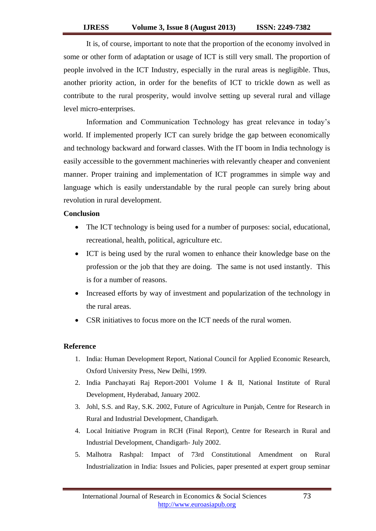It is, of course, important to note that the proportion of the economy involved in some or other form of adaptation or usage of ICT is still very small. The proportion of people involved in the ICT Industry, especially in the rural areas is negligible. Thus, another priority action, in order for the benefits of ICT to trickle down as well as contribute to the rural prosperity, would involve setting up several rural and village level micro-enterprises.

Information and Communication Technology has great relevance in today's world. If implemented properly ICT can surely bridge the gap between economically and technology backward and forward classes. With the IT boom in India technology is easily accessible to the government machineries with relevantly cheaper and convenient manner. Proper training and implementation of ICT programmes in simple way and language which is easily understandable by the rural people can surely bring about revolution in rural development.

## **Conclusion**

- The ICT technology is being used for a number of purposes: social, educational, recreational, health, political, agriculture etc.
- ICT is being used by the rural women to enhance their knowledge base on the profession or the job that they are doing. The same is not used instantly. This is for a number of reasons.
- Increased efforts by way of investment and popularization of the technology in the rural areas.
- CSR initiatives to focus more on the ICT needs of the rural women.

## **Reference**

- 1. India: Human Development Report, National Council for Applied Economic Research, Oxford University Press, New Delhi, 1999.
- 2. India Panchayati Raj Report-2001 Volume I & II, National Institute of Rural Development, Hyderabad, January 2002.
- 3. Johl, S.S. and Ray, S.K. 2002, Future of Agriculture in Punjab, Centre for Research in Rural and Industrial Development, Chandigarh.
- 4. Local Initiative Program in RCH (Final Report), Centre for Research in Rural and Industrial Development, Chandigarh- July 2002.
- 5. Malhotra Rashpal: Impact of 73rd Constitutional Amendment on Rural Industrialization in India: Issues and Policies, paper presented at expert group seminar